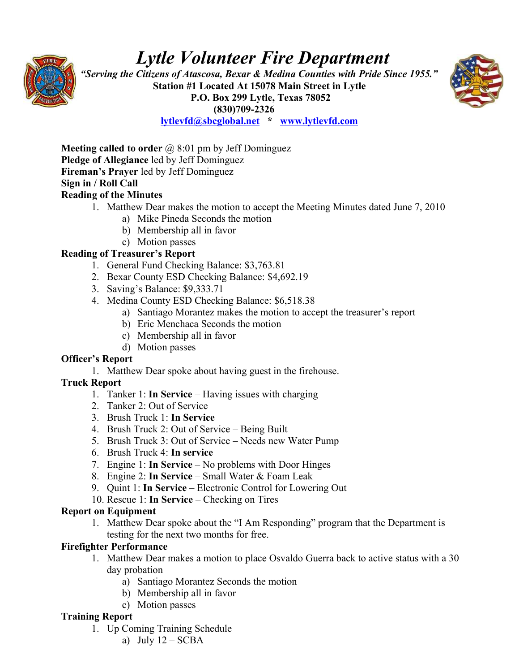

# *Lytle Volunteer Fire Department*

 *"Serving the Citizens of Atascosa, Bexar & Medina Counties with Pride Since 1955."*  **Station #1 Located At 15078 Main Street in Lytle P.O. Box 299 Lytle, Texas 78052 (830)709-2326**



**[lytlevfd@sbcglobal.net](mailto:lytlevfd@sbcglobal.net) \* [www.lytlevfd.com](http://www.lytlevfd.com/)**

**Meeting called to order** @ 8:01 pm by Jeff Dominguez **Pledge of Allegiance** led by Jeff Dominguez **Fireman's Prayer** led by Jeff Dominguez **Sign in / Roll Call**

#### **Reading of the Minutes**

- 1. Matthew Dear makes the motion to accept the Meeting Minutes dated June 7, 2010
	- a) Mike Pineda Seconds the motion
	- b) Membership all in favor
	- c) Motion passes

#### **Reading of Treasurer's Report**

- 1. General Fund Checking Balance: \$3,763.81
- 2. Bexar County ESD Checking Balance: \$4,692.19
- 3. Saving's Balance: \$9,333.71
- 4. Medina County ESD Checking Balance: \$6,518.38
	- a) Santiago Morantez makes the motion to accept the treasurer's report
	- b) Eric Menchaca Seconds the motion
	- c) Membership all in favor
	- d) Motion passes

#### **Officer's Report**

1. Matthew Dear spoke about having guest in the firehouse.

#### **Truck Report**

- 1. Tanker 1: **In Service** Having issues with charging
- 2. Tanker 2: Out of Service
- 3. Brush Truck 1: **In Service**
- 4. Brush Truck 2: Out of Service Being Built
- 5. Brush Truck 3: Out of Service Needs new Water Pump
- 6. Brush Truck 4: **In service**
- 7. Engine 1: **In Service** No problems with Door Hinges
- 8. Engine 2: **In Service** Small Water & Foam Leak
- 9. Quint 1: **In Service** Electronic Control for Lowering Out
- 10. Rescue 1: **In Service** Checking on Tires

#### **Report on Equipment**

1. Matthew Dear spoke about the "I Am Responding" program that the Department is testing for the next two months for free.

#### **Firefighter Performance**

- 1. Matthew Dear makes a motion to place Osvaldo Guerra back to active status with a 30 day probation
	- a) Santiago Morantez Seconds the motion
	- b) Membership all in favor
	- c) Motion passes

#### **Training Report**

- 1. Up Coming Training Schedule
	- a) July  $12 SCBA$